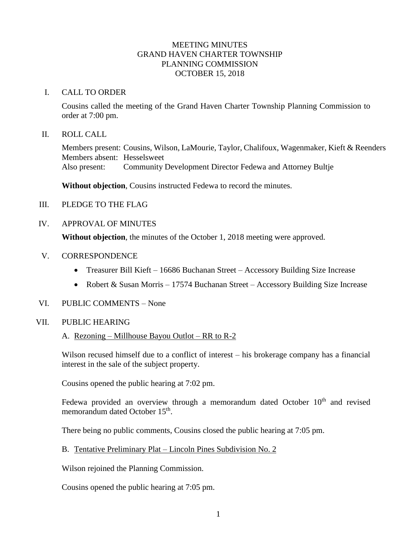### MEETING MINUTES GRAND HAVEN CHARTER TOWNSHIP PLANNING COMMISSION OCTOBER 15, 2018

#### I. CALL TO ORDER

Cousins called the meeting of the Grand Haven Charter Township Planning Commission to order at 7:00 pm.

#### II. ROLL CALL

Members present: Cousins, Wilson, LaMourie, Taylor, Chalifoux, Wagenmaker, Kieft & Reenders Members absent: Hesselsweet Also present: Community Development Director Fedewa and Attorney Bultje

**Without objection**, Cousins instructed Fedewa to record the minutes.

III. PLEDGE TO THE FLAG

### IV. APPROVAL OF MINUTES

**Without objection**, the minutes of the October 1, 2018 meeting were approved.

- V. CORRESPONDENCE
	- Treasurer Bill Kieft 16686 Buchanan Street Accessory Building Size Increase
	- Robert & Susan Morris 17574 Buchanan Street Accessory Building Size Increase
- VI. PUBLIC COMMENTS None

### VII. PUBLIC HEARING

A. Rezoning – Millhouse Bayou Outlot – RR to R-2

Wilson recused himself due to a conflict of interest – his brokerage company has a financial interest in the sale of the subject property.

Cousins opened the public hearing at 7:02 pm.

Fedewa provided an overview through a memorandum dated October  $10<sup>th</sup>$  and revised memorandum dated October 15<sup>th</sup>.

There being no public comments, Cousins closed the public hearing at 7:05 pm.

B. Tentative Preliminary Plat – Lincoln Pines Subdivision No. 2

Wilson rejoined the Planning Commission.

Cousins opened the public hearing at 7:05 pm.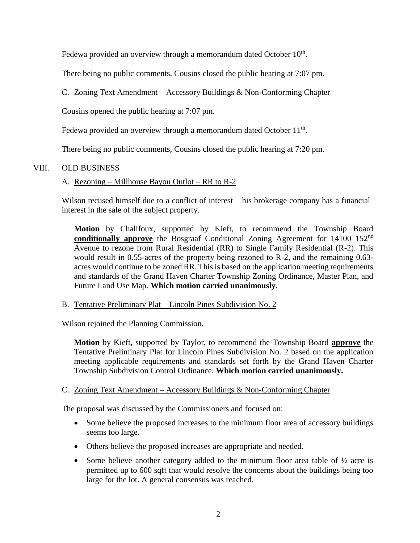Fedewa provided an overview through a memorandum dated October  $10<sup>th</sup>$ .

There being no public comments, Cousins closed the public hearing at 7:07 pm.

C. Zoning Text Amendment – Accessory Buildings & Non-Conforming Chapter

Cousins opened the public hearing at 7:07 pm.

Fedewa provided an overview through a memorandum dated October 11<sup>th</sup>.

There being no public comments, Cousins closed the public hearing at 7:20 pm.

# VIII. OLD BUSINESS

# A. Rezoning – Millhouse Bayou Outlot – RR to R-2

Wilson recused himself due to a conflict of interest – his brokerage company has a financial interest in the sale of the subject property.

**Motion** by Chalifoux, supported by Kieft, to recommend the Township Board **conditionally approve** the Bosgraaf Conditional Zoning Agreement for 14100 152<sup>nd</sup> Avenue to rezone from Rural Residential (RR) to Single Family Residential (R-2). This would result in 0.55-acres of the property being rezoned to R-2, and the remaining 0.63 acres would continue to be zoned RR. This is based on the application meeting requirements and standards of the Grand Haven Charter Township Zoning Ordinance, Master Plan, and Future Land Use Map. **Which motion carried unanimously.**

# B. Tentative Preliminary Plat – Lincoln Pines Subdivision No. 2

Wilson rejoined the Planning Commission.

**Motion** by Kieft, supported by Taylor, to recommend the Township Board **approve** the Tentative Preliminary Plat for Lincoln Pines Subdivision No. 2 based on the application meeting applicable requirements and standards set forth by the Grand Haven Charter Township Subdivision Control Ordinance. **Which motion carried unanimously.**

# C. Zoning Text Amendment – Accessory Buildings & Non-Conforming Chapter

The proposal was discussed by the Commissioners and focused on:

- Some believe the proposed increases to the minimum floor area of accessory buildings seems too large.
- Others believe the proposed increases are appropriate and needed.
- Some believe another category added to the minimum floor area table of  $\frac{1}{2}$  acre is permitted up to 600 sqft that would resolve the concerns about the buildings being too large for the lot. A general consensus was reached.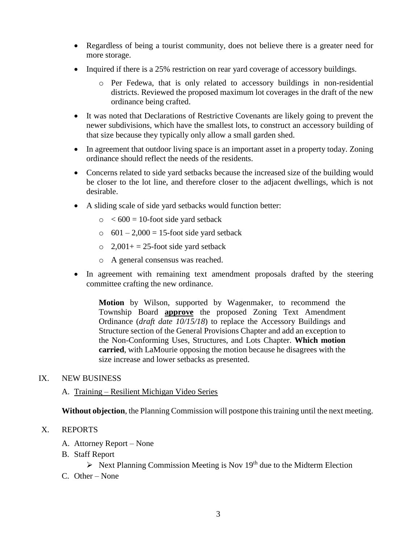- Regardless of being a tourist community, does not believe there is a greater need for more storage.
- Inquired if there is a 25% restriction on rear yard coverage of accessory buildings.
	- o Per Fedewa, that is only related to accessory buildings in non-residential districts. Reviewed the proposed maximum lot coverages in the draft of the new ordinance being crafted.
- It was noted that Declarations of Restrictive Covenants are likely going to prevent the newer subdivisions, which have the smallest lots, to construct an accessory building of that size because they typically only allow a small garden shed.
- In agreement that outdoor living space is an important asset in a property today. Zoning ordinance should reflect the needs of the residents.
- Concerns related to side yard setbacks because the increased size of the building would be closer to the lot line, and therefore closer to the adjacent dwellings, which is not desirable.
- A sliding scale of side yard setbacks would function better:
	- $\circ$  < 600 = 10-foot side yard setback
	- $\circ$  601 2,000 = 15-foot side yard setback
	- $\circ$  2,001+ = 25-foot side yard setback
	- o A general consensus was reached.
- In agreement with remaining text amendment proposals drafted by the steering committee crafting the new ordinance.

**Motion** by Wilson, supported by Wagenmaker, to recommend the Township Board **approve** the proposed Zoning Text Amendment Ordinance (*draft date 10/15/18*) to replace the Accessory Buildings and Structure section of the General Provisions Chapter and add an exception to the Non-Conforming Uses, Structures, and Lots Chapter. **Which motion carried**, with LaMourie opposing the motion because he disagrees with the size increase and lower setbacks as presented.

### IX. NEW BUSINESS

### A. Training – Resilient Michigan Video Series

**Without objection**, the Planning Commission will postpone this training until the next meeting.

## X. REPORTS

- A. Attorney Report None
- B. Staff Report
	- $\triangleright$  Next Planning Commission Meeting is Nov 19<sup>th</sup> due to the Midterm Election
- C. Other None